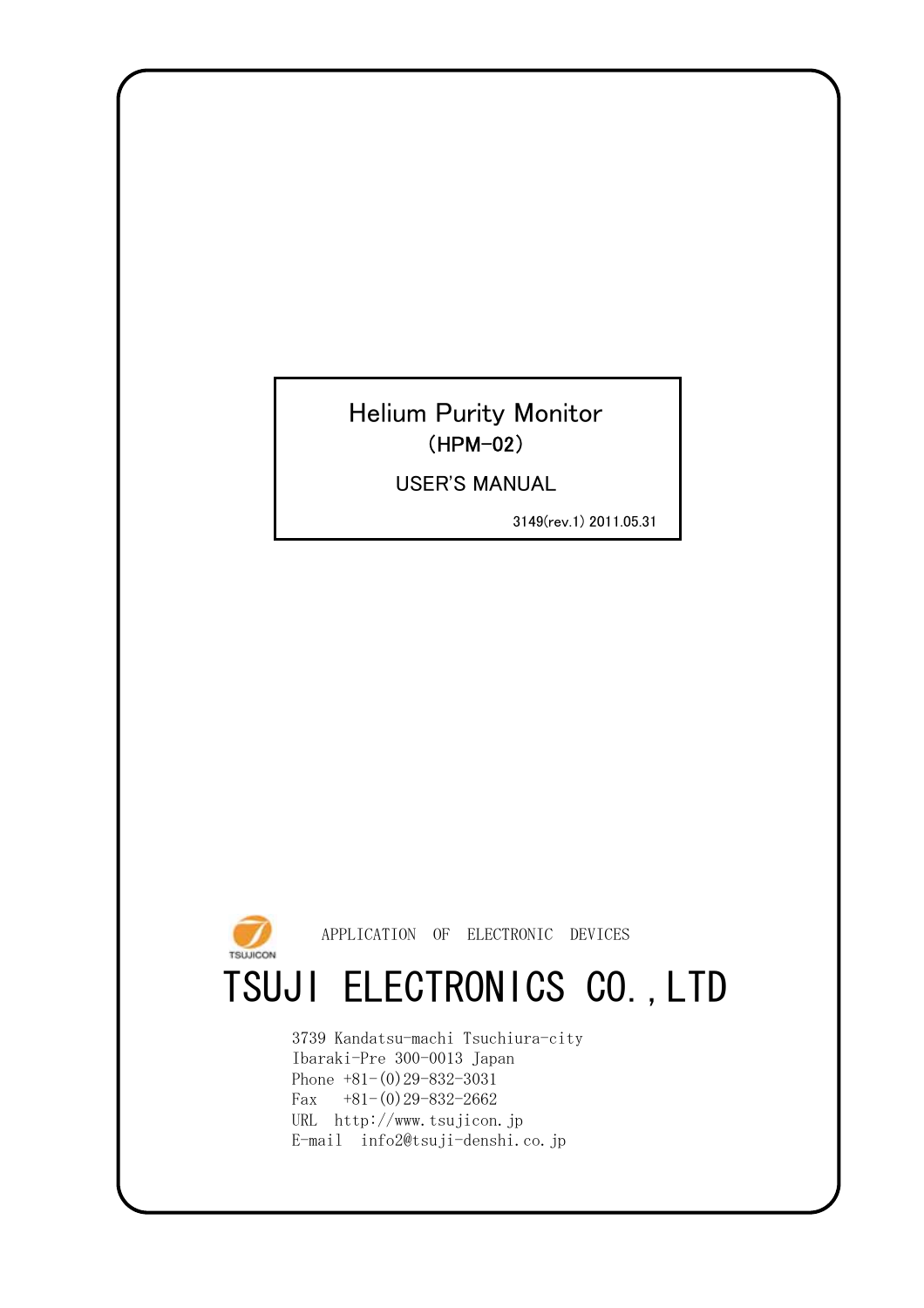### Helium Purity Monitor (HPM-02)

USER'S MANUAL

3149(rev.1) 2011.05.31



APPLICATION OF ELECTRONIC DEVICES

# TSUJI ELECTRONICS CO.,LTD

E-mail info2@tsuji-denshi.co.jp 3739 Kandatsu-machi Tsuchiura-city Ibaraki-Pre 300-0013 Japan Phone +81-(0)29-832-3031 Fax  $+81-(0)29-832-2662$ URL http://www.tsujicon.jp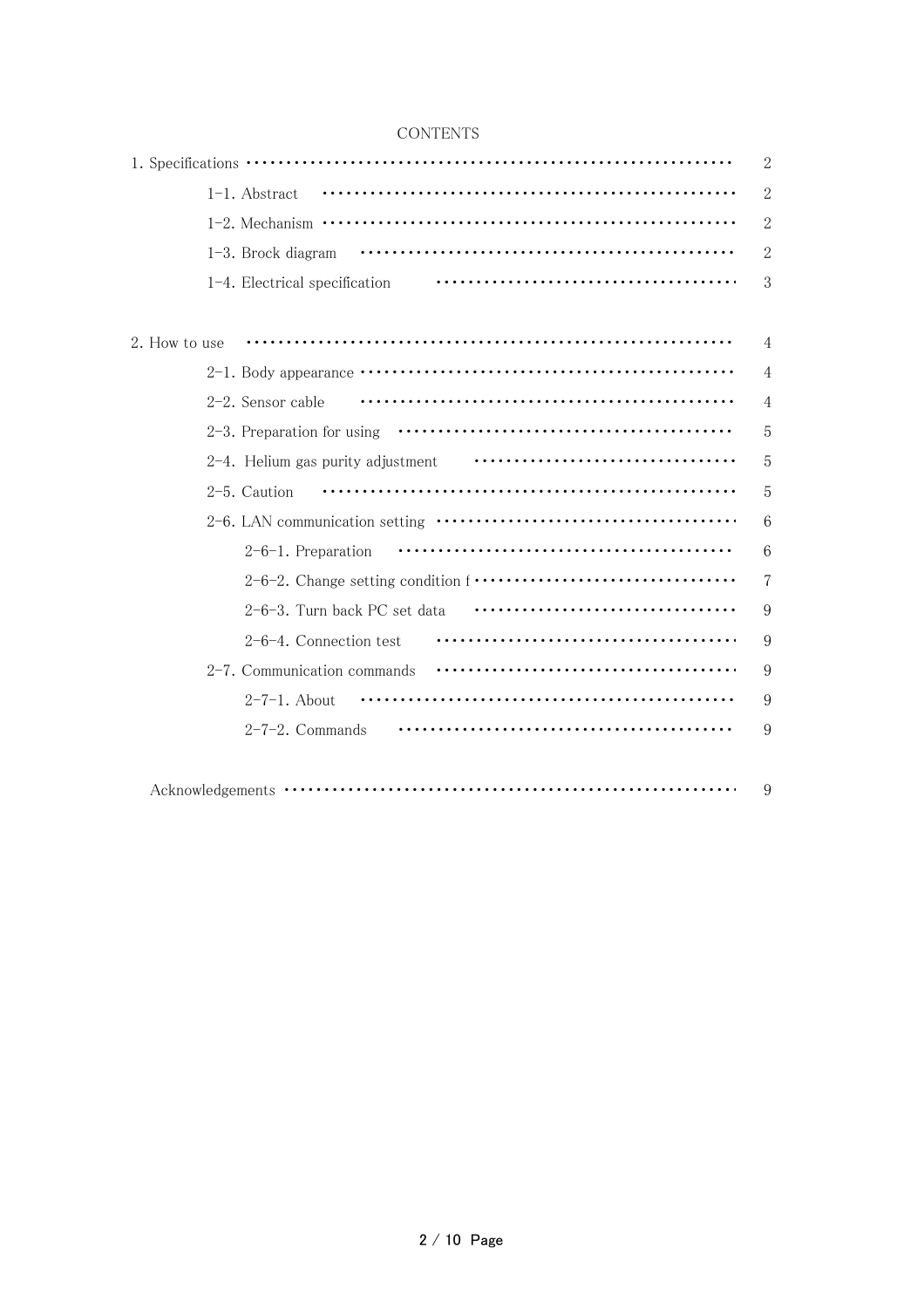| CONTENTS |  |
|----------|--|
|          |  |

|                               | $\mathbf{2}$   |
|-------------------------------|----------------|
| $1-1.$ Abstract               | $\overline{2}$ |
|                               | $\overline{2}$ |
| $1-3$ . Brock diagram         | $\overline{2}$ |
| 1-4. Electrical specification | 3              |
|                               |                |
| 2. How to use                 | $\overline{4}$ |
|                               | $\overline{4}$ |
| $2-2$ . Sensor cable          | $\overline{4}$ |
|                               | 5              |
|                               | 5              |
| 2-5. Caution                  | 5              |
|                               | 6              |
| 2-6-1. Preparation            | 6              |
|                               | $\overline{7}$ |
| 2-6-3. Turn back PC set data  | 9              |
| $2-6-4$ . Connection test     | 9              |
| 2-7. Communication commands   | 9              |
| $2-7-1$ . About               | 9              |
| $2-7-2$ . Commands            | 9              |
|                               |                |
|                               | 9              |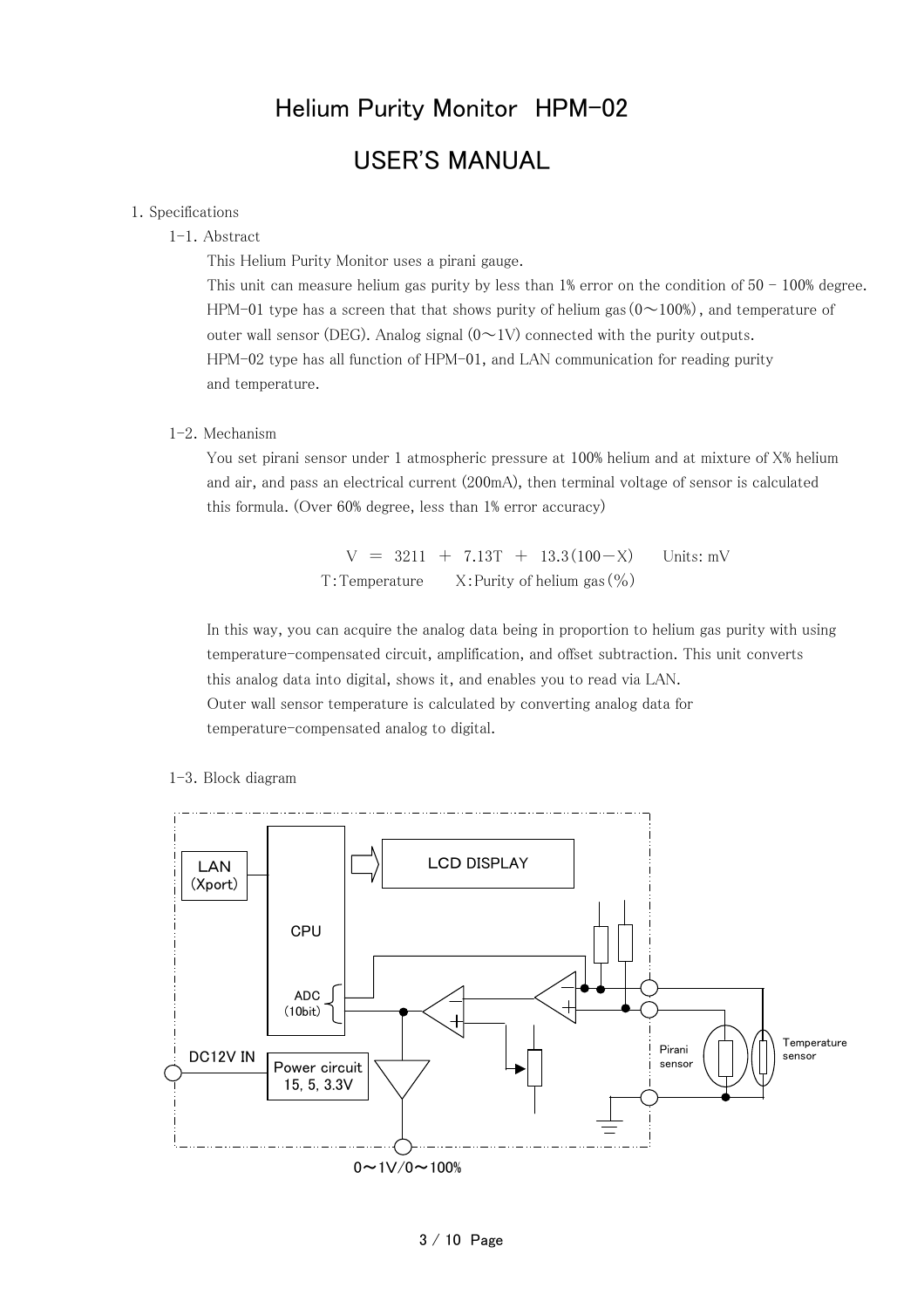## Helium Purity Monitor HPM-02 USER'S MANUAL

#### 1.Specifications

#### 1-1.Abstract

This Helium Purity Monitor uses a pirani gauge.

This unit can measure helium gas purity by less than  $1\%$  error on the condition of  $50 - 100\%$  degree. HPM-01 type has a screen that that shows purity of helium gas  $(0 \sim 100\%)$ , and temperature of outer wall sensor (DEG). Analog signal  $(0 \sim 1$ V) connected with the purity outputs. HPM-02 type has all function of HPM-01, and LAN communication for reading purity and temperature.

#### 1-2.Mechanism

You set pirani sensor under 1 atmospheric pressure at 100% helium and at mixture of X% helium and air, and pass an electrical current (200mA), then terminal voltage of sensor is calculated this formula. (Over 60% degree, less than 1% error accuracy)

> $V = 3211 + 7.13T + 13.3(100-X)$  Units: mV T:Temperature X:Purity of helium gas(%)

In this way, you can acquire the analog data being in proportion to helium gas purity with using temperature-compensated circuit, amplification, and offset subtraction. This unit converts this analog data into digital, shows it, and enables you to read via LAN. Outer wall sensor temperature is calculated by converting analog data for temperature-compensated analog to digital.

1-3.Block diagram

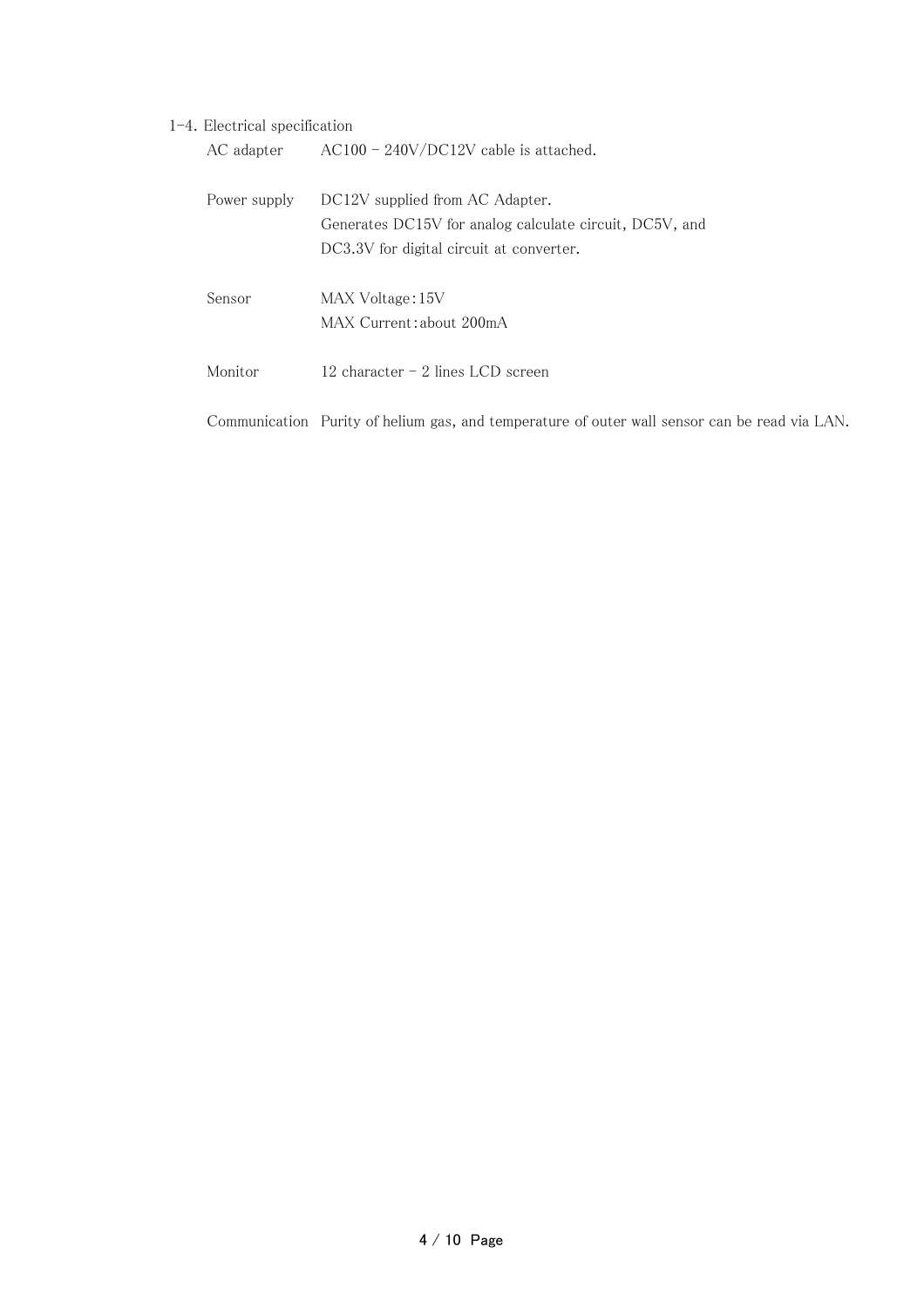#### 1-4.Electrical specification

| AC adapter   | $AC100 - 240V/DC12V$ cable is attached.                                                                                                |
|--------------|----------------------------------------------------------------------------------------------------------------------------------------|
| Power supply | DC12V supplied from AC Adapter.<br>Generates DC15V for analog calculate circuit, DC5V, and<br>DC3.3V for digital circuit at converter. |
| Sensor       | MAX Voltage: 15V<br>MAX Current: about 200mA                                                                                           |
| Monitor      | 12 character $-2$ lines LCD screen                                                                                                     |
|              | Communication Purity of helium gas, and temperature of outer wall sensor can be read via LAN.                                          |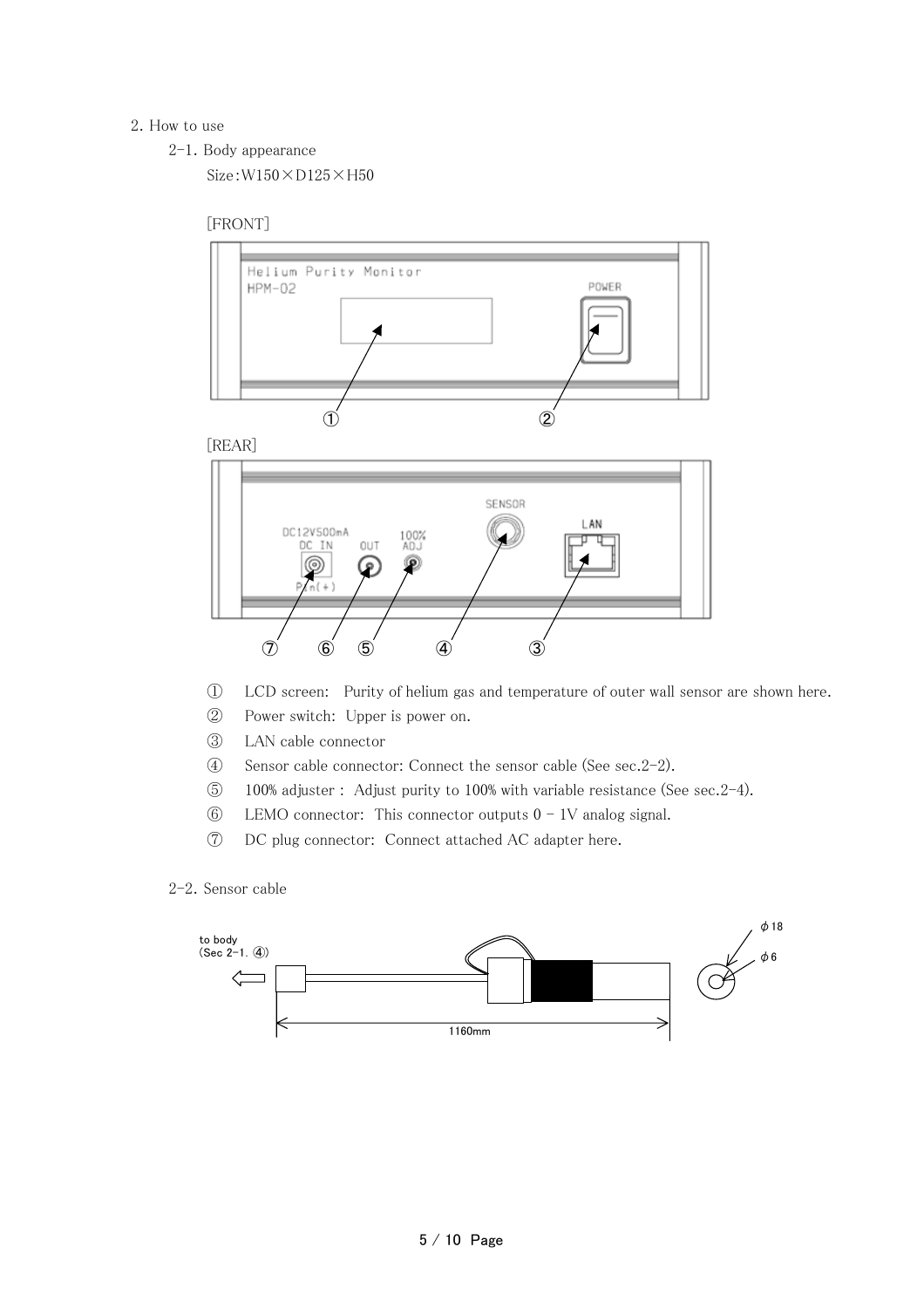#### 2.How to use

2-1.Body appearance

Size:W150×D125×H50

#### [FRONT]



[REAR]



- ① LCD screen: Purity of helium gas and temperature of outer wall sensor are shown here.
- ② Power switch: Upper is power on.
- ③ LAN cable connector
- ④ Sensor cable connector: Connect the sensor cable (See sec.2-2).
- ⑤ 100% adjuster : Adjust purity to 100% with variable resistance (See sec.2-4).
- $6$  LEMO connector: This connector outputs  $0 1V$  analog signal.
- ⑦ DC plug connector: Connect attached AC adapter here.

<sup>2-2.</sup>Sensor cable

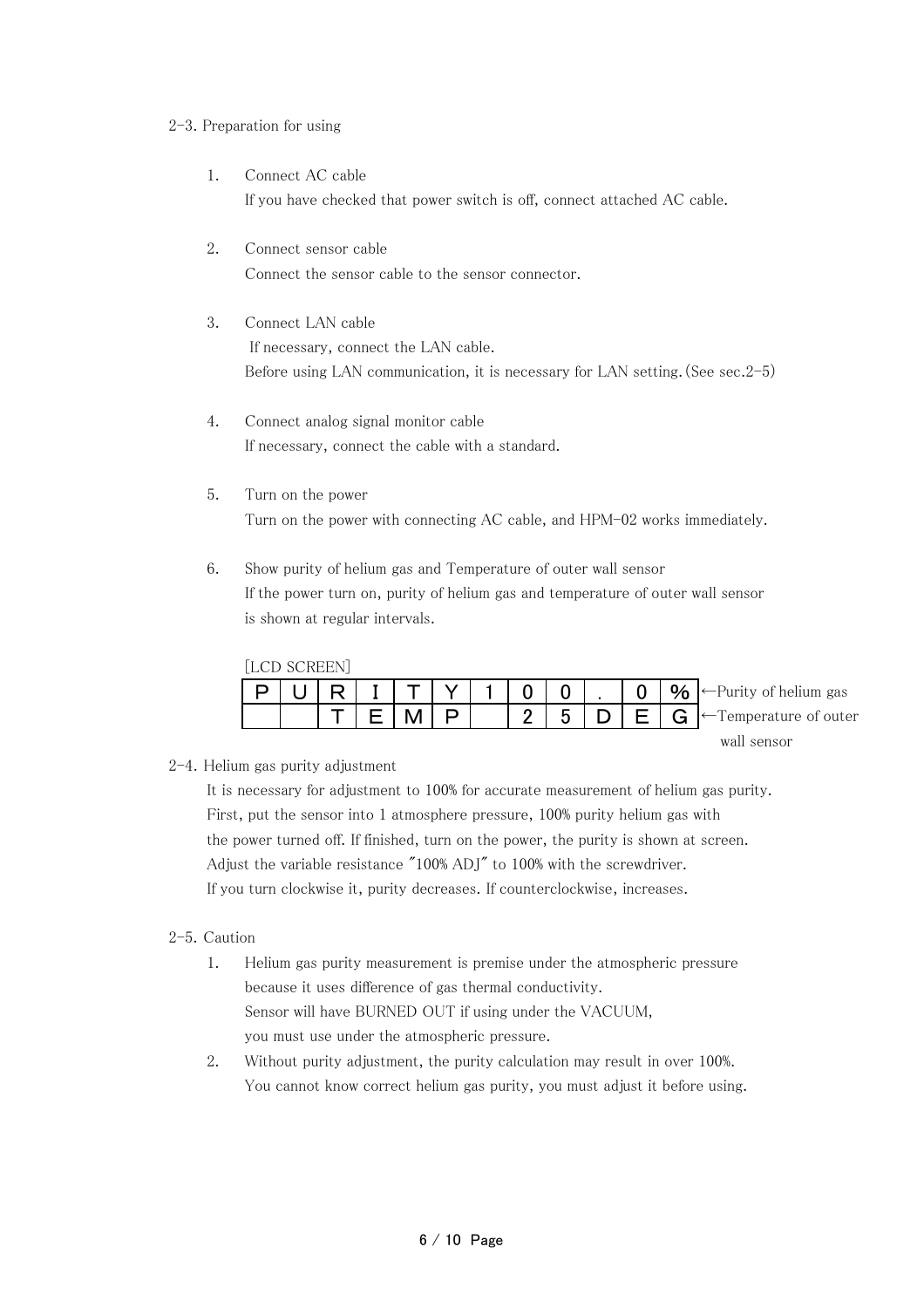#### 2-3. Preparation for using

- 1. Connect AC cable If you have checked that power switch is off, connect attached AC cable.
- 2. Connect sensor cable Connect the sensor cable to the sensor connector.
- 3. Connect LAN cable If necessary, connect the LAN cable. Before using LAN communication, it is necessary for LAN setting.(See sec.2-5)
- 4. Connect analog signal monitor cable If necessary, connect the cable with a standard.
- 5. Turn on the power Turn on the power with connecting AC cable, and HPM-02 works immediately.
- 6. Show purity of helium gas and Temperature of outer wall sensor If the power turn on, purity of helium gas and temperature of outer wall sensor is shown at regular intervals.

| [LCD SCREEN] |  |  |  |   |  |                                              |
|--------------|--|--|--|---|--|----------------------------------------------|
|              |  |  |  |   |  | $\bullet$ $\bullet$ Purity of helium gas     |
|              |  |  |  | 5 |  | $E \mid G$ $\leftarrow$ Temperature of outer |
|              |  |  |  |   |  | wall sensor                                  |

2-4.Helium gas purity adjustment

It is necessary for adjustment to 100% for accurate measurement of helium gas purity. First, put the sensor into 1 atmosphere pressure, 100% purity helium gas with the power turned off. If finished, turn on the power, the purity is shown at screen. Adjust the variable resistance "100% ADJ" to 100% with the screwdriver. If you turn clockwise it, purity decreases. If counterclockwise, increases.

#### 2-5.Caution

- 1. Helium gas purity measurement is premise under the atmospheric pressure because it uses difference of gas thermal conductivity. Sensor will have BURNED OUT if using under the VACUUM, you must use under the atmospheric pressure.
- 2. Without purity adjustment, the purity calculation may result in over 100%. You cannot know correct helium gas purity, you must adjust it before using.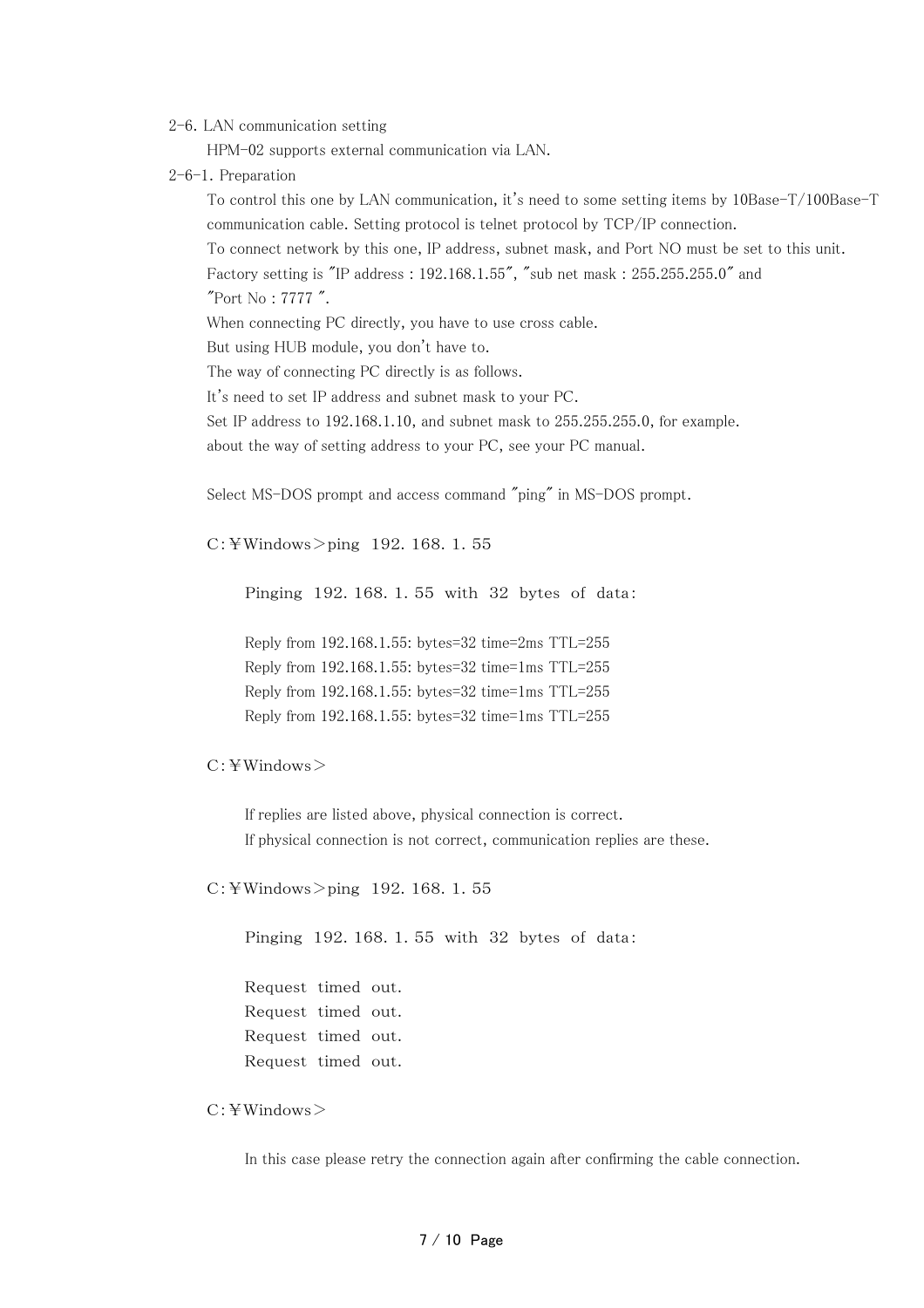2-6.LAN communication setting

HPM-02 supports external communication via LAN.

2-6-1. Preparation

To control this one by LAN communication, it's need to some setting items by 10Base-T/100Base-T communication cable. Setting protocol is telnet protocol by TCP/IP connection.

To connect network by this one, IP address, subnet mask, and Port NO must be set to this unit.

Factory setting is "IP address : 192.168.1.55", "sub net mask : 255.255.255.0" and

"Port No : 7777 ".

When connecting PC directly, you have to use cross cable.

But using HUB module, you don't have to.

The way of connecting PC directly is as follows.

It's need to set IP address and subnet mask to your PC.

Set IP address to 192.168.1.10, and subnet mask to 255.255.255.0, for example.

about the way of setting address to your PC, see your PC manual.

Select MS-DOS prompt and access command "ping" in MS-DOS prompt.

 $C:$  ¥Windows > ping 192.168.1.55

Pinging 192.168.1.55 with 32 bytes of data:

Reply from 192.168.1.55: bytes=32 time=2ms TTL=255 Reply from 192.168.1.55: bytes=32 time=1ms TTL=255 Reply from 192.168.1.55: bytes=32 time=1ms TTL=255 Reply from 192.168.1.55: bytes=32 time=1ms TTL=255

#### C:¥Windows>

If replies are listed above, physical connection is correct. If physical connection is not correct, communication replies are these.

C:¥Windows>ping 192.168.1.55

Pinging 192.168.1.55 with 32 bytes of data:

Request timed out. Request timed out. Request timed out. Request timed out.

#### C:¥Windows>

In this case please retry the connection again after confirming the cable connection.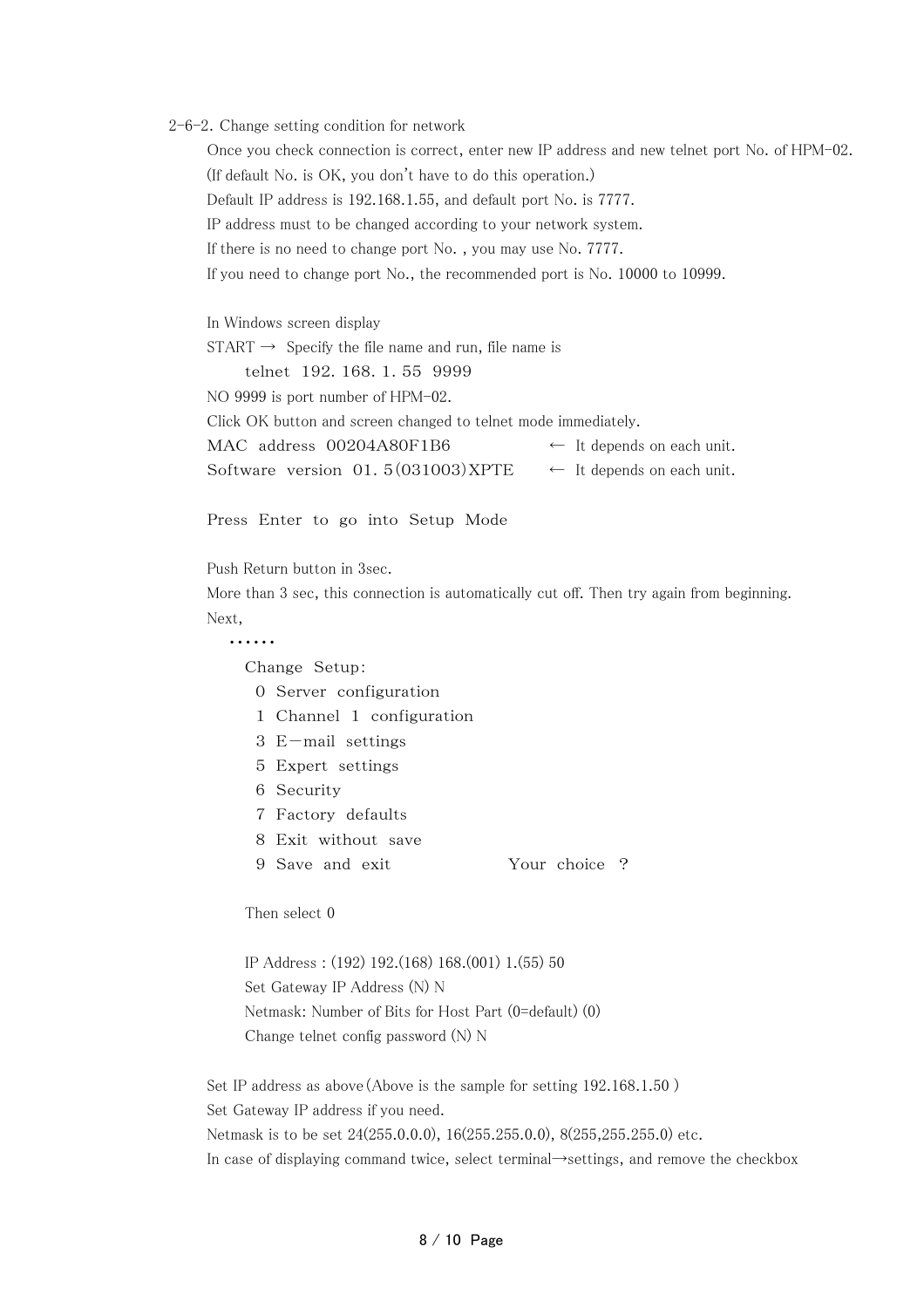#### 2-6-2.Change setting condition for network

Once you check connection is correct, enter new IP address and new telnet port No. of HPM-02. (If default No. is OK, you don't have to do this operation.) Default IP address is 192.168.1.55, and default port No. is 7777. IP address must to be changed according to your network system. If there is no need to change port No. , you may use No. 7777. If you need to change port No., the recommended port is No. 10000 to 10999.

In Windows screen display  $START \rightarrow$  Specify the file name and run, file name is telnet 192.168.1.55 9999 NO 9999 is port number of HPM-02. Click OK button and screen changed to telnet mode immediately. MAC address  $00204A80F1B6$   $\leftarrow$  It depends on each unit. Software version  $01.5(031003)XPTE$  ← It depends on each unit.

Press Enter to go into Setup Mode

Push Return button in 3sec.

More than 3 sec, this connection is automatically cut off. Then try again from beginning. Next,

#### ・・・・・・

Change Setup:

- 0 Server configuration
- 1 Channel 1 configuration
- 3 E-mail settings
- 5 Expert settings
- 6 Security
- 7 Factory defaults

8 Exit without save

9 Save and exit Your choice ?

Then select 0

IP Address : (192) 192.(168) 168.(001) 1.(55) 50 Set Gateway IP Address (N) N Netmask: Number of Bits for Host Part (0=default) (0) Change telnet config password (N) N

Set IP address as above(Above is the sample for setting 192.168.1.50 ) Set Gateway IP address if you need. Netmask is to be set 24(255.0.0.0), 16(255.255.0.0), 8(255,255.255.0) etc. In case of displaying command twice, select terminal→settings, and remove the checkbox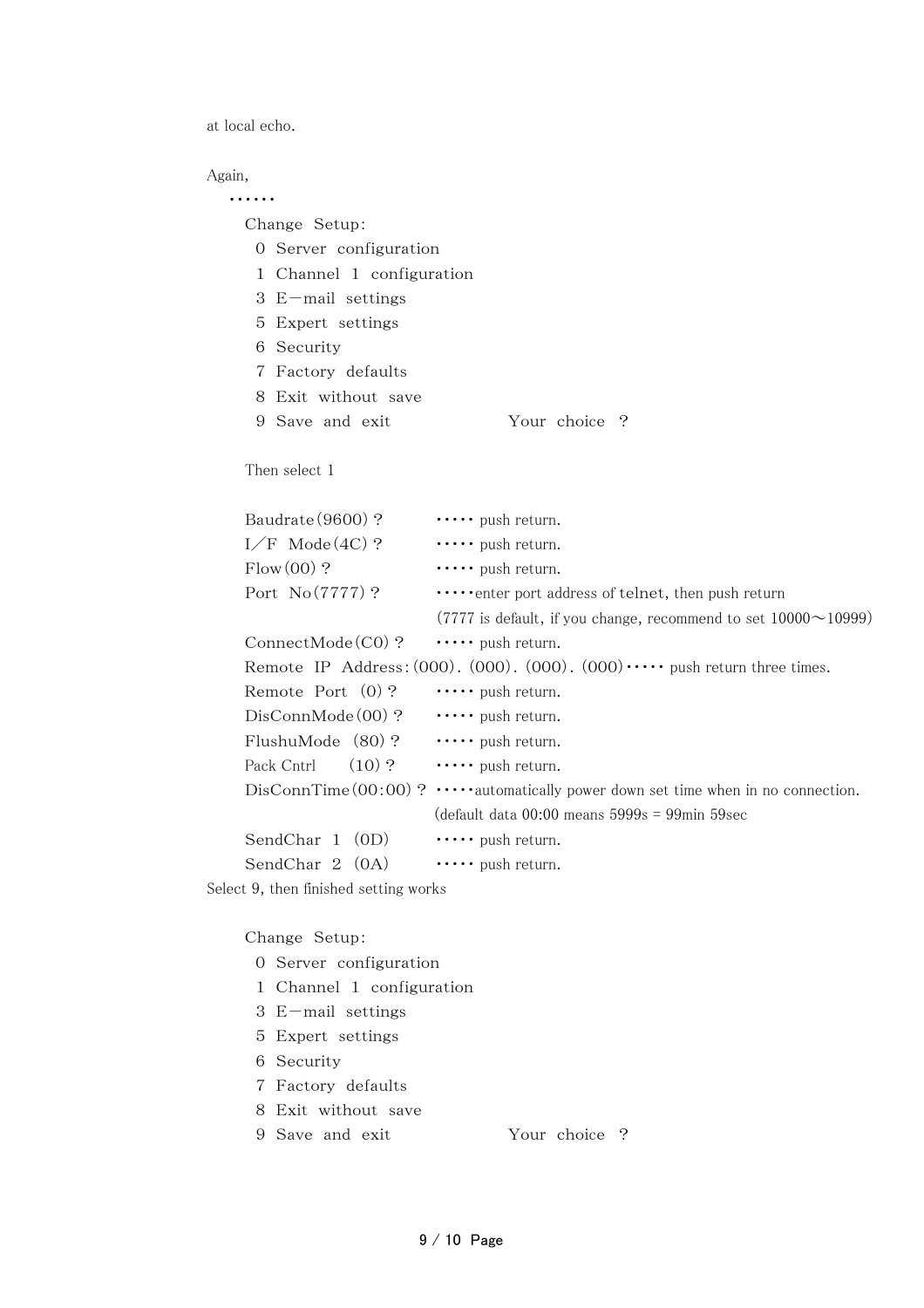at local echo.

#### Again,

・・・・・・

Change Setup:

- 0 Server configuration
- 1 Channel 1 configuration
- 3 E-mail settings
- 5 Expert settings
- 6 Security
- 7 Factory defaults
- 8 Exit without save
- 9 Save and exit Your choice ?

#### Then select 1

|           | Baudrate (9600)?    | $\cdots$ push return.                                                                        |  |  |  |  |  |
|-----------|---------------------|----------------------------------------------------------------------------------------------|--|--|--|--|--|
|           | $I/F$ Mode $(4C)$ ? | $\cdots$ push return.                                                                        |  |  |  |  |  |
| Flow(00)? |                     | $\cdots$ push return.                                                                        |  |  |  |  |  |
|           | Port $No(7777)$ ?   | $\cdots$ enter port address of telnet, then push return                                      |  |  |  |  |  |
|           |                     | $(7777$ is default, if you change, recommend to set $10000 \sim 10999$ )                     |  |  |  |  |  |
|           | $ConnectMode(C0)$ ? | push return.                                                                                 |  |  |  |  |  |
|           |                     | Remote IP Address: $(000)$ . $(000)$ . $(000)$ . $(000)$ . $(000)$ . $(000)$ $(000)$ $(000)$ |  |  |  |  |  |
|           | Remote Port $(0)$ ? | $\cdots$ push return.                                                                        |  |  |  |  |  |
|           | $DisConnMode(00)$ ? | $\cdots$ push return.                                                                        |  |  |  |  |  |
|           | FlushuMode (80)?    | push return.                                                                                 |  |  |  |  |  |
|           | Pack Cntrl $(10)$ ? | $\cdots$ push return.                                                                        |  |  |  |  |  |
|           |                     | DisConnTime $(00:00)$ ? $\cdots$ automatically power down set time when in no connection.    |  |  |  |  |  |
|           |                     | $\alpha$ default data 00:00 means 5999s = 99min 59sec                                        |  |  |  |  |  |
|           | SendChar 1 (0D)     | $\cdots$ push return.                                                                        |  |  |  |  |  |
|           | SendChar 2 (0A)     | $\cdots$ push return.                                                                        |  |  |  |  |  |
|           |                     |                                                                                              |  |  |  |  |  |

Select 9, then finished setting works

#### Change Setup:

- 0 Server configuration
- 1 Channel 1 configuration
- 3 E-mail settings
- 5 Expert settings
- 6 Security
- 7 Factory defaults
- 8 Exit without save
- 9 Save and exit Your choice ?